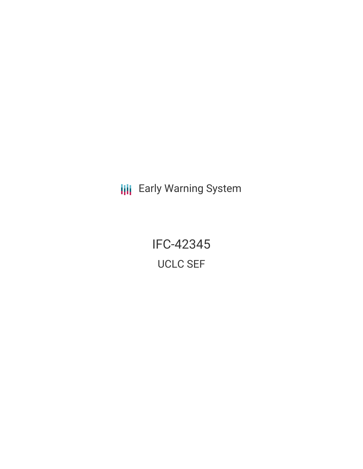**III** Early Warning System

IFC-42345 UCLC SEF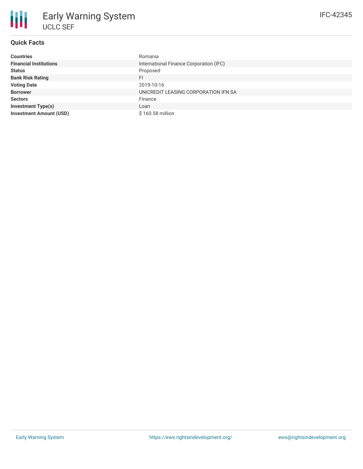### **Quick Facts**

| <b>Countries</b>               | Romania                                 |
|--------------------------------|-----------------------------------------|
| <b>Financial Institutions</b>  | International Finance Corporation (IFC) |
| <b>Status</b>                  | Proposed                                |
| <b>Bank Risk Rating</b>        | FI                                      |
| <b>Voting Date</b>             | 2019-10-16                              |
| <b>Borrower</b>                | UNICREDIT LEASING CORPORATION IFN SA    |
| <b>Sectors</b>                 | Finance                                 |
| <b>Investment Type(s)</b>      | Loan                                    |
| <b>Investment Amount (USD)</b> | \$160.58 million                        |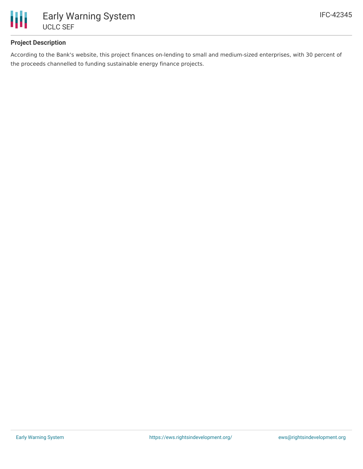

### **Project Description**

According to the Bank's website, this project finances on-lending to small and medium-sized enterprises, with 30 percent of the proceeds channelled to funding sustainable energy finance projects.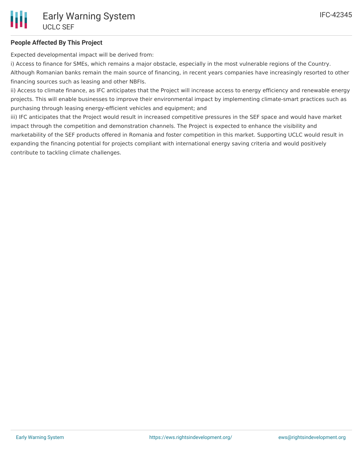### **People Affected By This Project**

Expected developmental impact will be derived from:

i) Access to finance for SMEs, which remains a major obstacle, especially in the most vulnerable regions of the Country.

Although Romanian banks remain the main source of financing, in recent years companies have increasingly resorted to other financing sources such as leasing and other NBFIs.

ii) Access to climate finance, as IFC anticipates that the Project will increase access to energy efficiency and renewable energy projects. This will enable businesses to improve their environmental impact by implementing climate-smart practices such as purchasing through leasing energy-efficient vehicles and equipment; and

iii) IFC anticipates that the Project would result in increased competitive pressures in the SEF space and would have market impact through the competition and demonstration channels. The Project is expected to enhance the visibility and marketability of the SEF products offered in Romania and foster competition in this market. Supporting UCLC would result in expanding the financing potential for projects compliant with international energy saving criteria and would positively contribute to tackling climate challenges.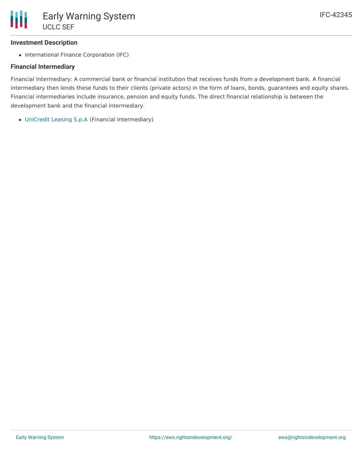# **Investment Description**

• International Finance Corporation (IFC)

# **Financial Intermediary**

Financial Intermediary: A commercial bank or financial institution that receives funds from a development bank. A financial intermediary then lends these funds to their clients (private actors) in the form of loans, bonds, guarantees and equity shares. Financial intermediaries include insurance, pension and equity funds. The direct financial relationship is between the development bank and the financial intermediary.

[UniCredit](file:///actor/887/) Leasing S.p.A (Financial Intermediary)